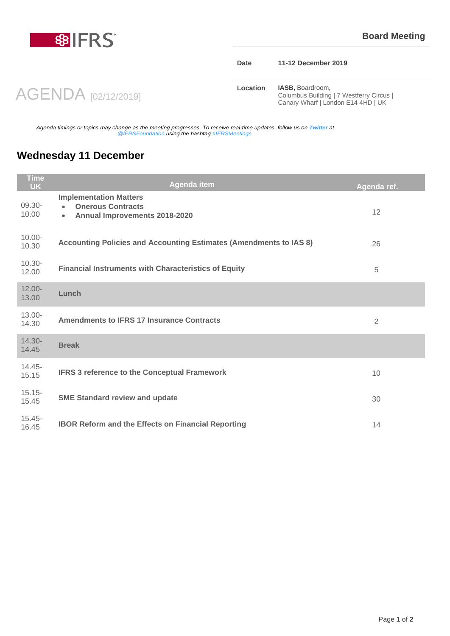

## **Date 11-12 December 2019**

AGENDA [02/12/2019]

**Location IASB**, Boardroom, Columbus Building | 7 Westferry Circus | Canary Wharf | London E14 4HD | UK

*Agenda timings or topics may change as the meeting progresses. To receive real-time updates, follow us on Twitter at @IFRSFoundation using the hashtag #IFRSMeetings.*

## **Wednesday 11 December**

| Time<br><b>UK</b>  | <b>Agenda item</b>                                                                                                   | Agenda ref.    |
|--------------------|----------------------------------------------------------------------------------------------------------------------|----------------|
| 09.30-<br>10.00    | <b>Implementation Matters</b><br><b>Onerous Contracts</b><br>$\bullet$<br>Annual Improvements 2018-2020<br>$\bullet$ | 12             |
| $10.00 -$<br>10.30 | Accounting Policies and Accounting Estimates (Amendments to IAS 8)                                                   | 26             |
| $10.30 -$<br>12.00 | <b>Financial Instruments with Characteristics of Equity</b>                                                          | 5              |
| $12.00 -$<br>13.00 | Lunch                                                                                                                |                |
| 13.00-<br>14.30    | <b>Amendments to IFRS 17 Insurance Contracts</b>                                                                     | $\overline{2}$ |
| 14.30-<br>14.45    | <b>Break</b>                                                                                                         |                |
| $14.45 -$<br>15.15 | <b>IFRS 3 reference to the Conceptual Framework</b>                                                                  | 10             |
| $15.15 -$<br>15.45 | <b>SME Standard review and update</b>                                                                                | 30             |
| $15.45 -$<br>16.45 | <b>IBOR Reform and the Effects on Financial Reporting</b>                                                            | 14             |